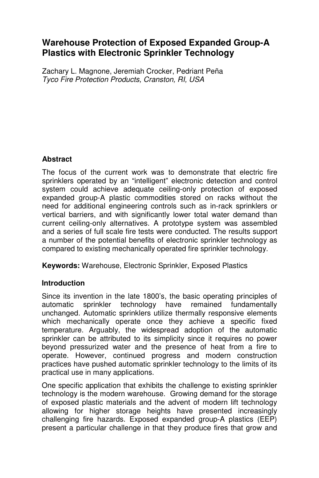# **Warehouse Protection of Exposed Expanded Group-A Plastics with Electronic Sprinkler Technology**

Zachary L. Magnone, Jeremiah Crocker, Pedriant Peña Tyco Fire Protection Products, Cranston, RI, USA

## **Abstract**

The focus of the current work was to demonstrate that electric fire sprinklers operated by an "intelligent" electronic detection and control system could achieve adequate ceiling-only protection of exposed expanded group-A plastic commodities stored on racks without the need for additional engineering controls such as in-rack sprinklers or vertical barriers, and with significantly lower total water demand than current ceiling-only alternatives. A prototype system was assembled and a series of full scale fire tests were conducted. The results support a number of the potential benefits of electronic sprinkler technology as compared to existing mechanically operated fire sprinkler technology.

**Keywords:** Warehouse, Electronic Sprinkler, Exposed Plastics

## **Introduction**

Since its invention in the late 1800's, the basic operating principles of automatic sprinkler technology have remained fundamentally unchanged. Automatic sprinklers utilize thermally responsive elements which mechanically operate once they achieve a specific fixed temperature. Arguably, the widespread adoption of the automatic sprinkler can be attributed to its simplicity since it requires no power beyond pressurized water and the presence of heat from a fire to operate. However, continued progress and modern construction practices have pushed automatic sprinkler technology to the limits of its practical use in many applications.

One specific application that exhibits the challenge to existing sprinkler technology is the modern warehouse. Growing demand for the storage of exposed plastic materials and the advent of modern lift technology allowing for higher storage heights have presented increasingly challenging fire hazards. Exposed expanded group-A plastics (EEP) present a particular challenge in that they produce fires that grow and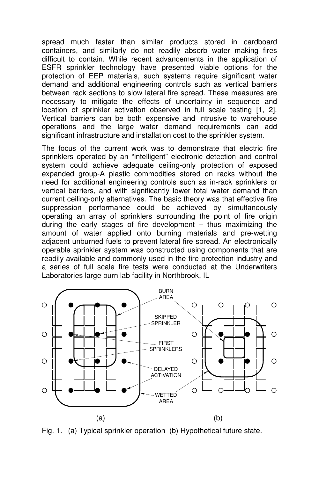spread much faster than similar products stored in cardboard containers, and similarly do not readily absorb water making fires difficult to contain. While recent advancements in the application of ESFR sprinkler technology have presented viable options for the protection of EEP materials, such systems require significant water demand and additional engineering controls such as vertical barriers between rack sections to slow lateral fire spread. These measures are necessary to mitigate the effects of uncertainty in sequence and location of sprinkler activation observed in full scale testing [1, 2]. Vertical barriers can be both expensive and intrusive to warehouse operations and the large water demand requirements can add significant infrastructure and installation cost to the sprinkler system.

The focus of the current work was to demonstrate that electric fire sprinklers operated by an "intelligent" electronic detection and control system could achieve adequate ceiling-only protection of exposed expanded group-A plastic commodities stored on racks without the need for additional engineering controls such as in-rack sprinklers or vertical barriers, and with significantly lower total water demand than current ceiling-only alternatives. The basic theory was that effective fire suppression performance could be achieved by simultaneously operating an array of sprinklers surrounding the point of fire origin during the early stages of fire development – thus maximizing the amount of water applied onto burning materials and pre-wetting adjacent unburned fuels to prevent lateral fire spread. An electronically operable sprinkler system was constructed using components that are readily available and commonly used in the fire protection industry and a series of full scale fire tests were conducted at the Underwriters Laboratories large burn lab facility in Northbrook, IL



Fig. 1. (a) Typical sprinkler operation (b) Hypothetical future state.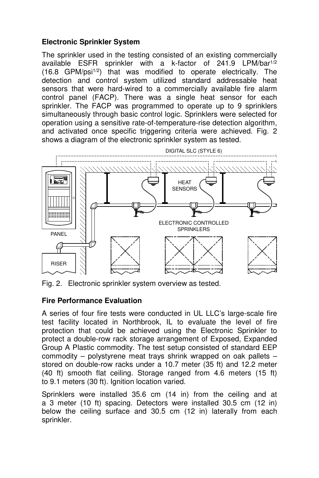### **Electronic Sprinkler System**

The sprinkler used in the testing consisted of an existing commercially available ESFR sprinkler with a k-factor of 241.9 LPM/bar1/2 (16.8 GPM/psi1/2) that was modified to operate electrically. The detection and control system utilized standard addressable heat sensors that were hard-wired to a commercially available fire alarm control panel (FACP). There was a single heat sensor for each sprinkler. The FACP was programmed to operate up to 9 sprinklers simultaneously through basic control logic. Sprinklers were selected for operation using a sensitive rate-of-temperature-rise detection algorithm, and activated once specific triggering criteria were achieved. Fig. 2 shows a diagram of the electronic sprinkler system as tested.



Fig. 2. Electronic sprinkler system overview as tested.

### **Fire Performance Evaluation**

A series of four fire tests were conducted in UL LLC's large-scale fire test facility located in Northbrook, IL to evaluate the level of fire protection that could be achieved using the Electronic Sprinkler to protect a double-row rack storage arrangement of Exposed, Expanded Group A Plastic commodity. The test setup consisted of standard EEP commodity – polystyrene meat trays shrink wrapped on oak pallets – stored on double-row racks under a 10.7 meter (35 ft) and 12.2 meter (40 ft) smooth flat ceiling. Storage ranged from 4.6 meters (15 ft) to 9.1 meters (30 ft). Ignition location varied.

Sprinklers were installed 35.6 cm (14 in) from the ceiling and at a 3 meter (10 ft) spacing. Detectors were installed 30.5 cm (12 in) below the ceiling surface and 30.5 cm (12 in) laterally from each sprinkler.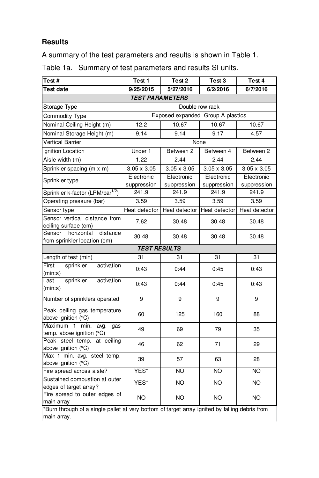# **Results**

A summary of the test parameters and results is shown in Table 1.

| Test #                                                                                                        | Test 1                            | Test <sub>2</sub>  | Test 3             | Test 4             |  |  |
|---------------------------------------------------------------------------------------------------------------|-----------------------------------|--------------------|--------------------|--------------------|--|--|
| Test date                                                                                                     | 9/25/2015                         | 5/27/2016          | 6/2/2016           | 6/7/2016           |  |  |
| <b>TEST PARAMETERS</b>                                                                                        |                                   |                    |                    |                    |  |  |
| Storage Type                                                                                                  | Double row rack                   |                    |                    |                    |  |  |
| Commodity Type                                                                                                | Exposed expanded Group A plastics |                    |                    |                    |  |  |
| Nominal Ceiling Height (m)                                                                                    | 12.2                              | 10.67              | 10.67              | 10.67              |  |  |
| Nominal Storage Height (m)                                                                                    | 9.14                              | 9.14               | 9.17               | 4.57               |  |  |
| <b>Vertical Barrier</b>                                                                                       | None                              |                    |                    |                    |  |  |
| Ignition Location                                                                                             | Under 1                           | Between 2          | Between 4          | Between 2          |  |  |
| Aisle width (m)                                                                                               | 1.22                              | 2.44               | 2.44               | 2.44               |  |  |
| Sprinkler spacing (m x m)                                                                                     | $3.05 \times 3.05$                | $3.05 \times 3.05$ | $3.05 \times 3.05$ | $3.05 \times 3.05$ |  |  |
| Sprinkler type                                                                                                | Electronic                        | Electronic         | Electronic         | Electronic         |  |  |
|                                                                                                               | suppression                       | suppression        | suppression        | suppression        |  |  |
| Sprinkler k-factor (LPM/bar <sup>1/2</sup> )                                                                  | 241.9                             | 241.9              | 241.9              | 241.9              |  |  |
| Operating pressure (bar)                                                                                      | 3.59                              | 3.59               | 3.59               | 3.59               |  |  |
| Sensor type                                                                                                   | Heat detector                     | Heat detector      | Heat detector      | Heat detector      |  |  |
| Sensor vertical distance from<br>ceiling surface (cm)                                                         | 7.62                              | 30.48              | 30.48              | 30.48              |  |  |
| Sensor<br>horizontal<br>distance<br>from sprinkler location (cm)                                              | 30.48                             | 30.48              | 30.48              | 30.48              |  |  |
| <b>TEST RESULTS</b>                                                                                           |                                   |                    |                    |                    |  |  |
| Length of test (min)                                                                                          | 31                                | 31                 | 31                 | 31                 |  |  |
| First<br>sprinkler<br>activation<br>(min:s)                                                                   | 0:43                              | 0:44               | 0:45               | 0:43               |  |  |
| sprinkler<br>activation<br>Last<br>(min:s)                                                                    | 0:43                              | 0:44               | 0:45               | 0:43               |  |  |
| Number of sprinklers operated                                                                                 | 9                                 | 9                  | 9                  | 9                  |  |  |
| Peak ceiling gas temperature<br>above ignition (°C)                                                           | 60                                | 125                | 160                | 88                 |  |  |
| Maximum 1<br>min.<br>avg.<br>qas<br>temp. above ignition (°C)                                                 | 49                                | 69                 | 79                 | 35                 |  |  |
| Peak steel temp. at ceiling<br>above ignition (°C)                                                            | 46                                | 62                 | 71                 | 29                 |  |  |
| Max 1 min. avg. steel temp.<br>above ignition (°C)                                                            | 39                                | 57                 | 63                 | 28                 |  |  |
| Fire spread across aisle?                                                                                     | YES*                              | NΟ                 | <b>NO</b>          | <b>NO</b>          |  |  |
| Sustained combustion at outer<br>edges of target array?                                                       | YES*                              | NO.                | NO                 | NO.                |  |  |
| Fire spread to outer edges of<br>main array                                                                   | <b>NO</b>                         | NO                 | NO.                | NO.                |  |  |
| *Burn through of a single pallet at very bottom of target array ignited by falling debris from<br>main array. |                                   |                    |                    |                    |  |  |

Table 1a. Summary of test parameters and results SI units.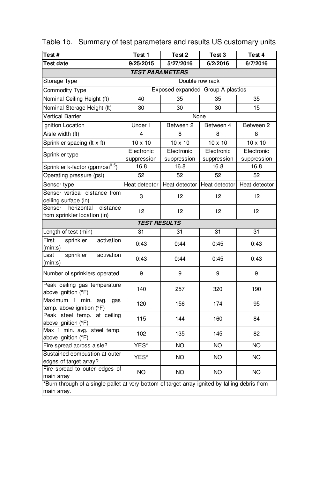| Test#                                                                                                         | Test 1                            | Test <sub>2</sub> | Test 3         | Test 4         |  |  |
|---------------------------------------------------------------------------------------------------------------|-----------------------------------|-------------------|----------------|----------------|--|--|
| Test date                                                                                                     | 9/25/2015                         | 5/27/2016         | 6/2/2016       | 6/7/2016       |  |  |
| <b>TEST PARAMETERS</b>                                                                                        |                                   |                   |                |                |  |  |
| Storage Type                                                                                                  | Double row rack                   |                   |                |                |  |  |
| Commodity Type                                                                                                | Exposed expanded Group A plastics |                   |                |                |  |  |
| Nominal Ceiling Height (ft)                                                                                   | 40                                | 35                | 35             | 35             |  |  |
| Nominal Storage Height (ft)                                                                                   | 30                                | 30                | 30             | 15             |  |  |
| <b>Vertical Barrier</b>                                                                                       | None                              |                   |                |                |  |  |
| <b>Ignition Location</b>                                                                                      | Under 1                           | Between 2         | Between 4      | Between 2      |  |  |
| Aisle width (ft)                                                                                              | 4                                 | 8                 | 8              | 8              |  |  |
| Sprinkler spacing (ft x ft)                                                                                   | $10 \times 10$                    | $10 \times 10$    | $10 \times 10$ | $10 \times 10$ |  |  |
| Sprinkler type                                                                                                | Electronic                        | Electronic        | Electronic     | Electronic     |  |  |
|                                                                                                               | suppression                       | suppression       | suppression    | suppression    |  |  |
| Sprinkler k-factor (gpm/psi <sup>0.5</sup> )                                                                  | 16.8                              | 16.8              | 16.8           | 16.8           |  |  |
| Operating pressure (psi)                                                                                      | 52                                | 52                | 52             | 52             |  |  |
| Sensor type                                                                                                   | Heat detector                     | Heat detector     | Heat detector  | Heat detector  |  |  |
| Sensor vertical distance from                                                                                 | 3                                 | 12                | 12             | 12             |  |  |
| ceiling surface (in)<br>Sensor<br>horizontal<br>distance                                                      |                                   |                   |                |                |  |  |
| from sprinkler location (in)                                                                                  | 12                                | 12                | 12             | 12             |  |  |
| <b>TEST RESULTS</b>                                                                                           |                                   |                   |                |                |  |  |
| Length of test (min)                                                                                          | 31                                | 31                | 31             | 31             |  |  |
| First<br>sprinkler<br>activation<br>(min:s)                                                                   | 0:43                              | 0:44              | 0:45           | 0:43           |  |  |
| sprinkler<br>activation<br>Last<br>(min:s)                                                                    | 0:43                              | 0:44              | 0:45           | 0:43           |  |  |
| Number of sprinklers operated                                                                                 | 9                                 | 9                 | 9              | 9              |  |  |
| Peak ceiling gas temperature<br>above ignition (°F)                                                           | 140                               | 257               | 320            | 190            |  |  |
| Maximum<br>min.<br>$\mathbf{1}$<br>avg.<br>qas<br>temp. above ignition (°F)                                   | 120                               | 156               | 174            | 95             |  |  |
| Peak steel temp. at ceiling<br>above ignition (°F)                                                            | 115                               | 144               | 160            | 84             |  |  |
| Max 1 min. avg. steel temp.<br>above ignition (°F)                                                            | 102                               | 135               | 145            | 82             |  |  |
| Fire spread across aisle?                                                                                     | YES*                              | <b>NO</b>         | <b>NO</b>      | NO             |  |  |
| Sustained combustion at outer<br>edges of target array?                                                       | YES*                              | NΟ                | NO             | NΟ             |  |  |
| Fire spread to outer edges of<br>main array                                                                   | <b>NO</b>                         | <b>NO</b>         | <b>NO</b>      | <b>NO</b>      |  |  |
| *Burn through of a single pallet at very bottom of target array ignited by falling debris from<br>main array. |                                   |                   |                |                |  |  |

Table 1b. Summary of test parameters and results US customary units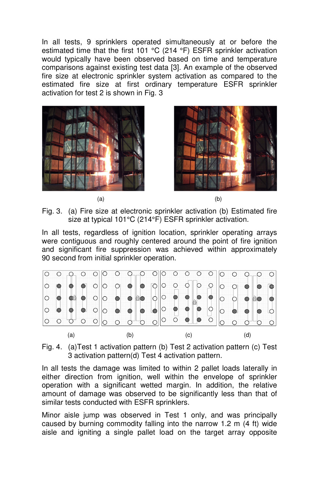In all tests, 9 sprinklers operated simultaneously at or before the estimated time that the first 101 °C (214 °F) ESFR sprinkler activation would typically have been observed based on time and temperature comparisons against existing test data [3]. An example of the observed fire size at electronic sprinkler system activation as compared to the estimated fire size at first ordinary temperature ESFR sprinkler activation for test 2 is shown in Fig. 3









Fig. 3. (a) Fire size at electronic sprinkler activation (b) Estimated fire size at typical 101°C (214°F) ESFR sprinkler activation.

In all tests, regardless of ignition location, sprinkler operating arrays were contiguous and roughly centered around the point of fire ignition and significant fire suppression was achieved within approximately 90 second from initial sprinkler operation.



Fig. 4. (a)Test 1 activation pattern (b) Test 2 activation pattern (c) Test 3 activation pattern(d) Test 4 activation pattern.

In all tests the damage was limited to within 2 pallet loads laterally in either direction from ignition, well within the envelope of sprinkler operation with a significant wetted margin. In addition, the relative amount of damage was observed to be significantly less than that of similar tests conducted with ESFR sprinklers.

Minor aisle jump was observed in Test 1 only, and was principally caused by burning commodity falling into the narrow 1.2 m (4 ft) wide aisle and igniting a single pallet load on the target array opposite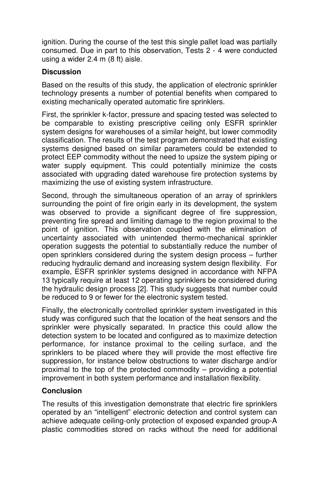ignition. During the course of the test this single pallet load was partially consumed. Due in part to this observation, Tests 2 - 4 were conducted using a wider 2.4 m (8 ft) aisle.

### **Discussion**

Based on the results of this study, the application of electronic sprinkler technology presents a number of potential benefits when compared to existing mechanically operated automatic fire sprinklers.

First, the sprinkler k-factor, pressure and spacing tested was selected to be comparable to existing prescriptive ceiling only ESFR sprinkler system designs for warehouses of a similar height, but lower commodity classification. The results of the test program demonstrated that existing systems designed based on similar parameters could be extended to protect EEP commodity without the need to upsize the system piping or water supply equipment. This could potentially minimize the costs associated with upgrading dated warehouse fire protection systems by maximizing the use of existing system infrastructure.

Second, through the simultaneous operation of an array of sprinklers surrounding the point of fire origin early in its development, the system was observed to provide a significant degree of fire suppression, preventing fire spread and limiting damage to the region proximal to the point of ignition. This observation coupled with the elimination of uncertainty associated with unintended thermo-mechanical sprinkler operation suggests the potential to substantially reduce the number of open sprinklers considered during the system design process – further reducing hydraulic demand and increasing system design flexibility. For example, ESFR sprinkler systems designed in accordance with NFPA 13 typically require at least 12 operating sprinklers be considered during the hydraulic design process [2]. This study suggests that number could be reduced to 9 or fewer for the electronic system tested.

Finally, the electronically controlled sprinkler system investigated in this study was configured such that the location of the heat sensors and the sprinkler were physically separated. In practice this could allow the detection system to be located and configured as to maximize detection performance, for instance proximal to the ceiling surface, and the sprinklers to be placed where they will provide the most effective fire suppression, for instance below obstructions to water discharge and/or proximal to the top of the protected commodity – providing a potential improvement in both system performance and installation flexibility.

### **Conclusion**

The results of this investigation demonstrate that electric fire sprinklers operated by an "intelligent" electronic detection and control system can achieve adequate ceiling-only protection of exposed expanded group-A plastic commodities stored on racks without the need for additional